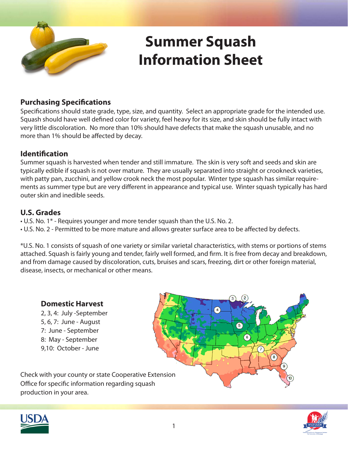

## **Summer Squash Information Sheet**

### **Purchasing Specifications**

Specifications should state grade, type, size, and quantity. Select an appropriate grade for the intended use. Squash should have well defined color for variety, feel heavy for its size, and skin should be fully intact with very little discoloration. No more than 10% should have defects that make the squash unusable, and no more than 1% should be affected by decay.

### **Identification**

Summer squash is harvested when tender and still immature. The skin is very soft and seeds and skin are typically edible if squash is not over mature. They are usually separated into straight or crookneck varieties, with patty pan, zucchini, and yellow crook neck the most popular. Winter type squash has similar requirements as summer type but are very different in appearance and typical use. Winter squash typically has hard outer skin and inedible seeds.

### **U.S. Grades**

- U.S. No. 1\* Requires younger and more tender squash than the U.S. No. 2.
- U.S. No. 2 Permitted to be more mature and allows greater surface area to be affected by defects.

\*U.S. No. 1 consists of squash of one variety or similar varietal characteristics, with stems or portions of stems attached. Squash is fairly young and tender, fairly well formed, and firm. It is free from decay and breakdown, and from damage caused by discoloration, cuts, bruises and scars, freezing, dirt or other foreign material, disease, insects, or mechanical or other means.